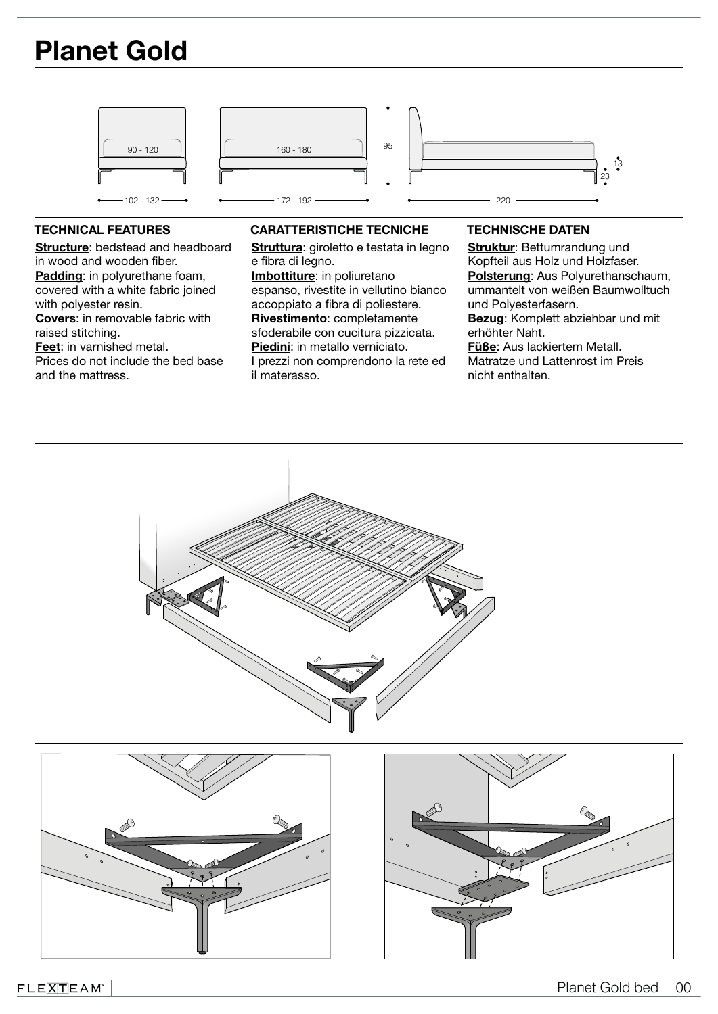# Planet Gold



Structure: bedstead and headboard in wood and wooden fiber. Padding: in polyurethane foam, covered with a white fabric joined with polyester resin. Covers: in removable fabric with raised stitching. Feet: in varnished metal. Prices do not include the bed base and the mattress.

# TECHNICAL FEATURES CARATTERISTICHE TECNICHE TECHNISCHE DATEN

Struttura: giroletto e testata in legno e fibra di legno.

Imbottiture: in poliuretano espanso, rivestite in vellutino bianco accoppiato a fibra di poliestere. Rivestimento: completamente sfoderabile con cucitura pizzicata. Piedini: in metallo verniciato. I prezzi non comprendono la rete ed il materasso.

Struktur: Bettumrandung und Kopfteil aus Holz und Holzfaser. Polsterung: Aus Polyurethanschaum, ummantelt von weißen Baumwolltuch und Polyesterfasern. Bezug: Komplett abziehbar und mit erhöhter Naht. Füße: Aus lackiertem Metall. Matratze und Lattenrost im Preis nicht enthalten.





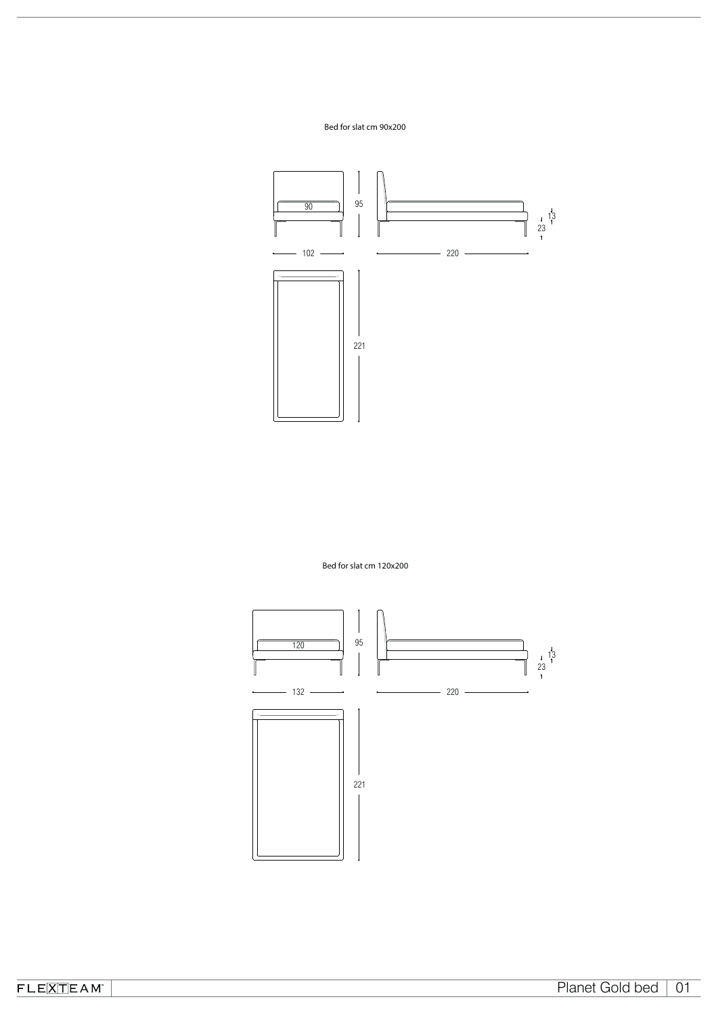## Bed for slat cm 90x200



Bed for slat cm 120x200



 $FLE[\overline{X}]\overline{TEAM}$